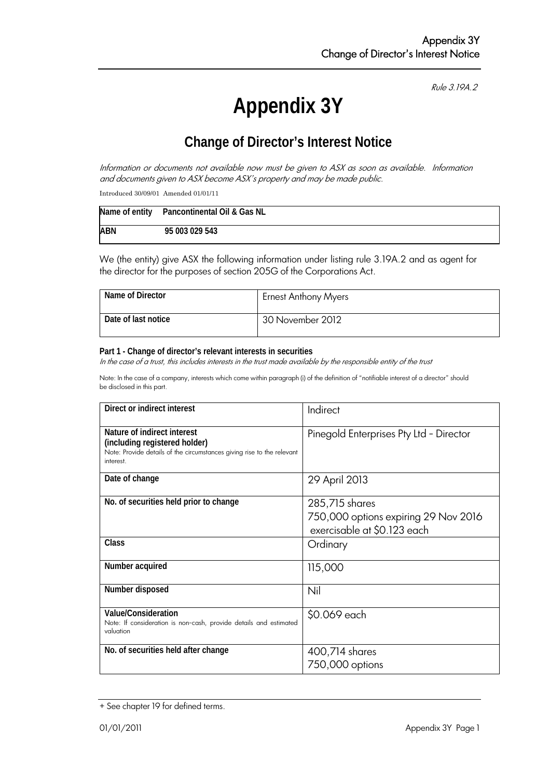Rule 3.19A.2

# **Appendix 3Y**

# **Change of Director's Interest Notice**

Information or documents not available now must be given to ASX as soon as available. Information and documents given to ASX become ASX's property and may be made public.

Introduced 30/09/01 Amended 01/01/11

|            | Name of entity Pancontinental Oil & Gas NL |
|------------|--------------------------------------------|
| <b>ABN</b> | 95 003 029 543                             |

We (the entity) give ASX the following information under listing rule 3.19A.2 and as agent for the director for the purposes of section 205G of the Corporations Act.

| Name of Director    | <b>Ernest Anthony Myers</b> |
|---------------------|-----------------------------|
| Date of last notice | 30 November 2012            |

#### **Part 1 - Change of director's relevant interests in securities**

In the case of a trust, this includes interests in the trust made available by the responsible entity of the trust

Note: In the case of a company, interests which come within paragraph (i) of the definition of "notifiable interest of a director" should be disclosed in this part.

| Direct or indirect interest                                                                                                                         | Indirect                                                                              |  |
|-----------------------------------------------------------------------------------------------------------------------------------------------------|---------------------------------------------------------------------------------------|--|
| Nature of indirect interest<br>(including registered holder)<br>Note: Provide details of the circumstances giving rise to the relevant<br>interest. | Pinegold Enterprises Pty Ltd - Director                                               |  |
| Date of change                                                                                                                                      | 29 April 2013                                                                         |  |
| No. of securities held prior to change                                                                                                              | 285,715 shares<br>750,000 options expiring 29 Nov 2016<br>exercisable at \$0.123 each |  |
| Class                                                                                                                                               | Ordinary                                                                              |  |
| Number acquired                                                                                                                                     | 115,000                                                                               |  |
| Number disposed                                                                                                                                     | Nil                                                                                   |  |
| Value/Consideration<br>Note: If consideration is non-cash, provide details and estimated<br>valuation                                               | \$0.069 each                                                                          |  |
| No. of securities held after change                                                                                                                 | 400,714 shares<br>750,000 options                                                     |  |

<sup>+</sup> See chapter 19 for defined terms.